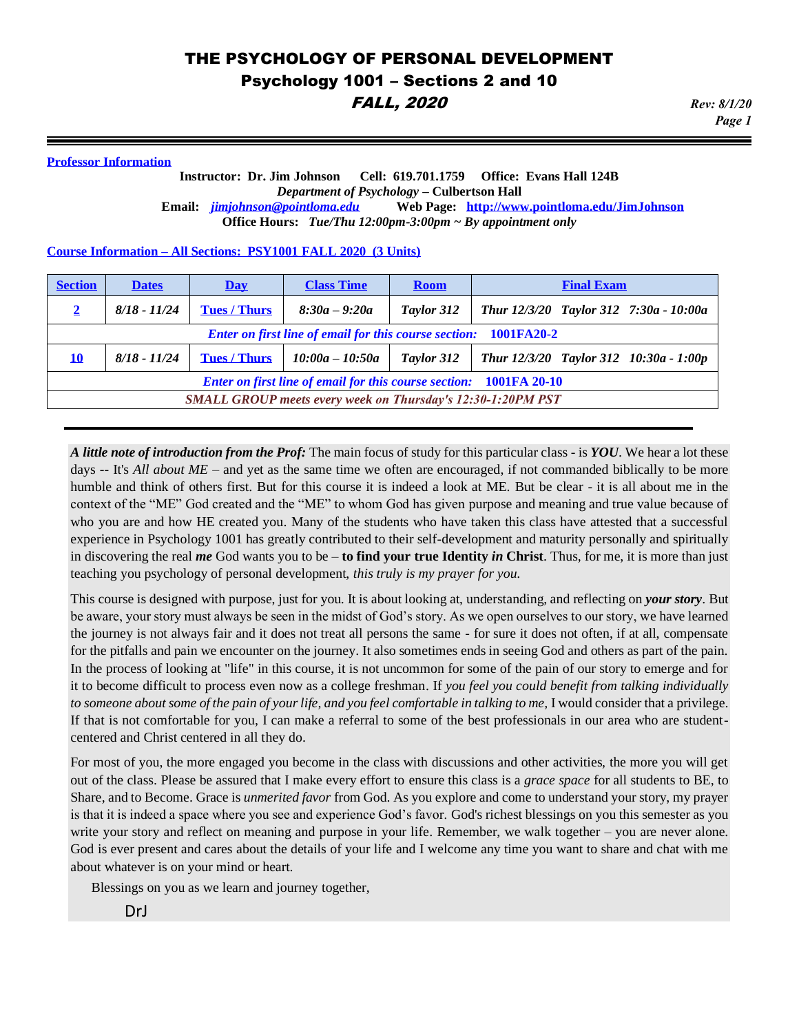### **Professor Information**

#### **Instructor: Dr. Jim Johnson Cell: 619.701.1759 Office: Evans Hall 124B** *Department of Psychology* **– Culbertson Hall Email:** *[jimjohnson@pointloma.edu](mailto:jimjohnson@pointloma.edu)* **Web Page: <http://www.pointloma.edu/JimJohnson> Office Hours:** *Tue/Thu 12:00pm-3:00pm ~ By appointment only*

#### **Course Information – All Sections: PSY1001 FALL 2020 (3 Units)**

| <b>Section</b>                                                            | <b>Dates</b>   | Day                 | <b>Class Time</b> | <b>Room</b> | <b>Final Exam</b>                      |
|---------------------------------------------------------------------------|----------------|---------------------|-------------------|-------------|----------------------------------------|
| $\mathbf{2}$                                                              | $8/18 - 11/24$ | <b>Tues / Thurs</b> | $8:30a - 9:20a$   | Taylor 312  | Thur 12/3/20 Taylor 312 7:30a - 10:00a |
| <b>Enter on first line of email for this course section:</b> 1001FA20-2   |                |                     |                   |             |                                        |
| 10                                                                        | $8/18 - 11/24$ | <b>Tues / Thurs</b> | $10:00a - 10:50a$ | Taylor 312  | Thur 12/3/20 Taylor 312 10:30a - 1:00p |
| <b>Enter on first line of email for this course section:</b> 1001FA 20-10 |                |                     |                   |             |                                        |
| <b>SMALL GROUP meets every week on Thursday's 12:30-1:20PM PST</b>        |                |                     |                   |             |                                        |

*A little note of introduction from the Prof:* The main focus of study for this particular class - is *YOU*. We hear a lot these days -- It's *All about ME* – and yet as the same time we often are encouraged, if not commanded biblically to be more humble and think of others first. But for this course it is indeed a look at ME. But be clear - it is all about me in the context of the "ME" God created and the "ME" to whom God has given purpose and meaning and true value because of who you are and how HE created you. Many of the students who have taken this class have attested that a successful experience in Psychology 1001 has greatly contributed to their self-development and maturity personally and spiritually in discovering the real *me* God wants you to be – **to find your true Identity** *in* **Christ**. Thus, for me, it is more than just teaching you psychology of personal development, *this truly is my prayer for you.*

This course is designed with purpose, just for you. It is about looking at, understanding, and reflecting on *your story*. But be aware, your story must always be seen in the midst of God's story. As we open ourselves to our story, we have learned the journey is not always fair and it does not treat all persons the same - for sure it does not often, if at all, compensate for the pitfalls and pain we encounter on the journey. It also sometimes ends in seeing God and others as part of the pain. In the process of looking at "life" in this course, it is not uncommon for some of the pain of our story to emerge and for it to become difficult to process even now as a college freshman. If *you feel you could benefit from talking individually to someone about some of the pain of your life, and you feel comfortable in talking to me,* I would consider that a privilege. If that is not comfortable for you, I can make a referral to some of the best professionals in our area who are studentcentered and Christ centered in all they do.

For most of you, the more engaged you become in the class with discussions and other activities, the more you will get out of the class. Please be assured that I make every effort to ensure this class is a *grace space* for all students to BE, to Share, and to Become. Grace is *unmerited favor* from God. As you explore and come to understand your story, my prayer is that it is indeed a space where you see and experience God's favor. God's richest blessings on you this semester as you write your story and reflect on meaning and purpose in your life. Remember, we walk together – you are never alone. God is ever present and cares about the details of your life and I welcome any time you want to share and chat with me about whatever is on your mind or heart.

Blessings on you as we learn and journey together,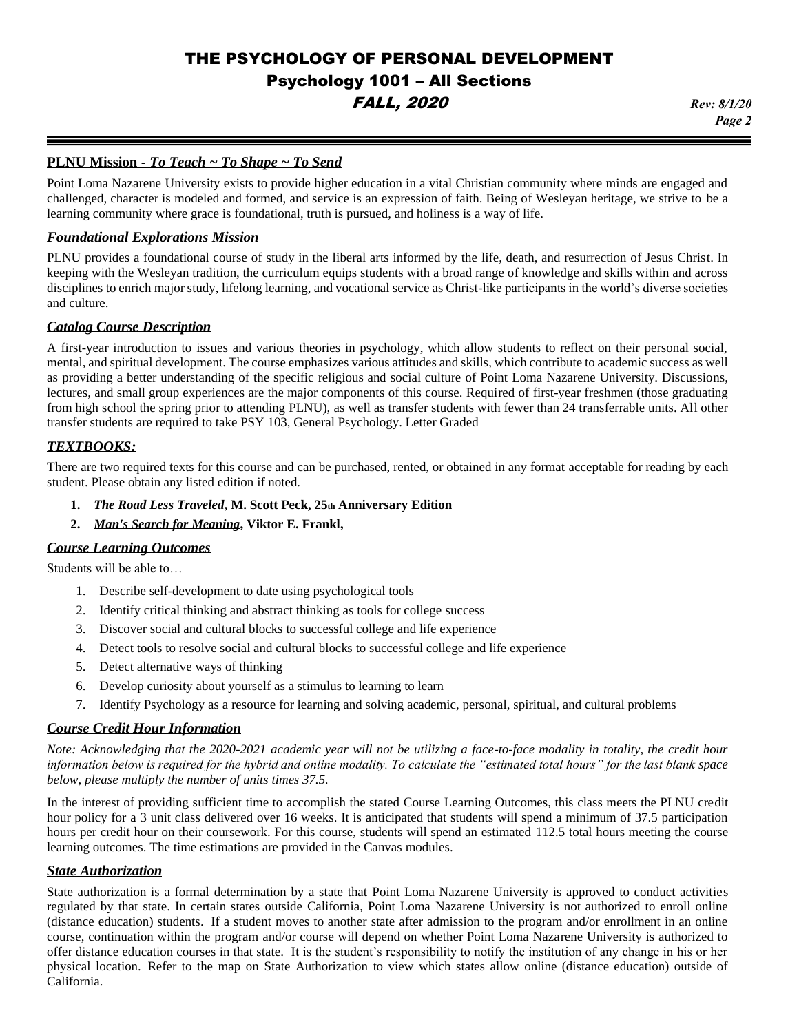# *Page 2*

# **PLNU Mission** *- To Teach ~ To Shape ~ To Send*

Point Loma Nazarene University exists to provide higher education in a vital Christian community where minds are engaged and challenged, character is modeled and formed, and service is an expression of faith. Being of Wesleyan heritage, we strive to be a learning community where grace is foundational, truth is pursued, and holiness is a way of life.

#### *Foundational Explorations Mission*

PLNU provides a foundational course of study in the liberal arts informed by the life, death, and resurrection of Jesus Christ. In keeping with the Wesleyan tradition, the curriculum equips students with a broad range of knowledge and skills within and across disciplines to enrich major study, lifelong learning, and vocational service as Christ-like participants in the world's diverse societies and culture.

#### *Catalog Course Description*

A first-year introduction to issues and various theories in psychology, which allow students to reflect on their personal social, mental, and spiritual development. The course emphasizes various attitudes and skills, which contribute to academic success as well as providing a better understanding of the specific religious and social culture of Point Loma Nazarene University. Discussions, lectures, and small group experiences are the major components of this course. Required of first-year freshmen (those graduating from high school the spring prior to attending PLNU), as well as transfer students with fewer than 24 transferrable units. All other transfer students are required to take PSY 103, General Psychology. Letter Graded

#### *TEXTBOOKS:*

There are two required texts for this course and can be purchased, rented, or obtained in any format acceptable for reading by each student. Please obtain any listed edition if noted.

- **1.** *The Road Less Traveled***, M. Scott Peck, 25th Anniversary Edition**
- **2.** *Man's Search for Meaning***, Viktor E. Frankl,**

#### *Course Learning Outcomes*

Students will be able to…

- 1. Describe self-development to date using psychological tools
- 2. Identify critical thinking and abstract thinking as tools for college success
- 3. Discover social and cultural blocks to successful college and life experience
- 4. Detect tools to resolve social and cultural blocks to successful college and life experience
- 5. Detect alternative ways of thinking
- 6. Develop curiosity about yourself as a stimulus to learning to learn
- 7. Identify Psychology as a resource for learning and solving academic, personal, spiritual, and cultural problems

### *Course Credit Hour Information*

*Note: Acknowledging that the 2020-2021 academic year will not be utilizing a face-to-face modality in totality, the credit hour information below is required for the hybrid and online modality. To calculate the "estimated total hours" for the last blank space below, please multiply the number of units times 37.5.* 

In the interest of providing sufficient time to accomplish the stated Course Learning Outcomes, this class meets the PLNU credit hour policy for a 3 unit class delivered over 16 weeks. It is anticipated that students will spend a minimum of 37.5 participation hours per credit hour on their coursework. For this course, students will spend an estimated 112.5 total hours meeting the course learning outcomes. The time estimations are provided in the Canvas modules.

### *State Authorization*

State authorization is a formal determination by a state that Point Loma Nazarene University is approved to conduct activities regulated by that state. In certain states outside California, Point Loma Nazarene University is not authorized to enroll online (distance education) students. If a student moves to another state after admission to the program and/or enrollment in an online course, continuation within the program and/or course will depend on whether Point Loma Nazarene University is authorized to offer distance education courses in that state. It is the student's responsibility to notify the institution of any change in his or her physical location. Refer to the map on [State Authorization](https://www.pointloma.edu/offices/office-institutional-effectiveness-research/disclosures) to view which states allow online (distance education) outside of California.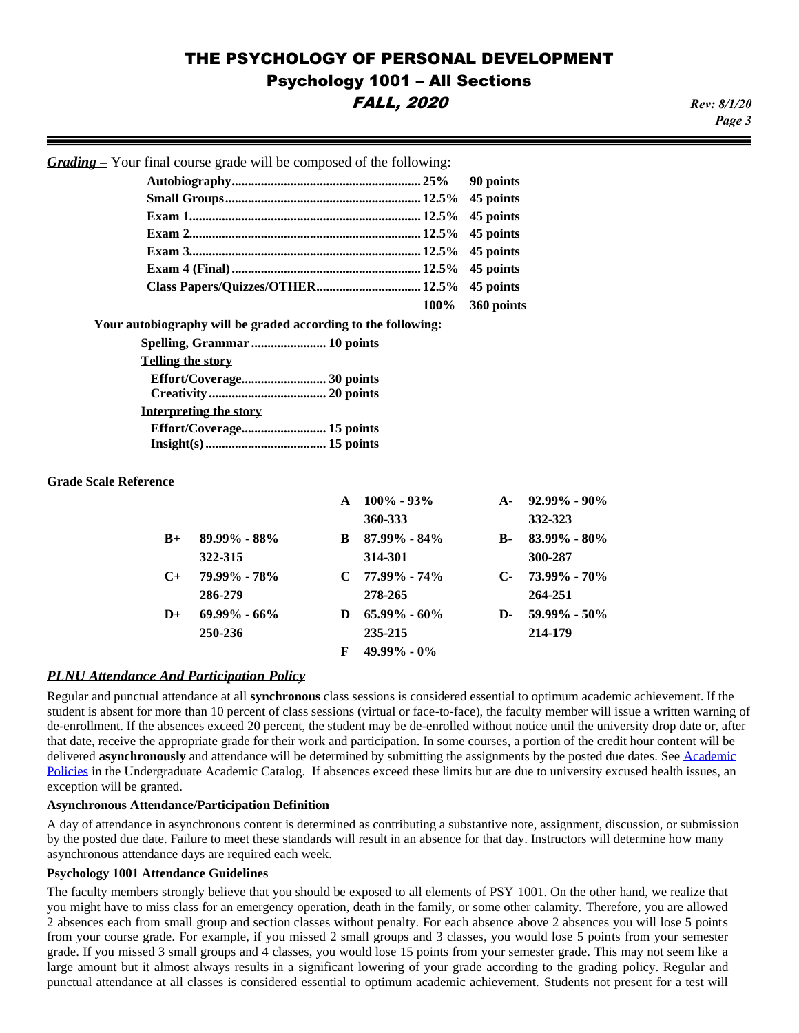*Page 3*

*Grading –* Your final course grade will be composed of the following:

|  | 100% 360 points |
|--|-----------------|

**Your autobiography will be graded according to the following:** 

| <b>Telling the story</b> |  |
|--------------------------|--|
|                          |  |
|                          |  |
| Interpreting the story   |  |
|                          |  |
|                          |  |

#### **Grade Scale Reference**

|           |                  | $\mathbf{A}$ | $100\% - 93\%$   | $A -$        | $92.99\% - 90\%$ |
|-----------|------------------|--------------|------------------|--------------|------------------|
|           |                  |              | 360-333          |              | 332-323          |
| $B+$      | 89.99% - 88%     | B            | $87.99\% - 84\%$ | <b>B-</b>    | $83.99\% - 80\%$ |
|           | 322-315          |              | 314-301          |              | 300-287          |
| $C_{\pm}$ | 79.99% - 78%     |              | $C$ 77.99% - 74% | $\mathbf{C}$ | 73.99% - 70%     |
|           | 286-279          |              | 278-265          |              | 264-251          |
| $D+$      | $69.99\% - 66\%$ | D            | $65.99\% - 60\%$ | D-           | $59.99\% - 50\%$ |
|           | 250-236          |              | 235-215          |              | 214-179          |
|           |                  | F            | $49.99\% - 0\%$  |              |                  |

#### *PLNU Attendance And Participation Policy*

Regular and punctual attendance at all **synchronous** class sessions is considered essential to optimum academic achievement. If the student is absent for more than 10 percent of class sessions (virtual or face-to-face), the faculty member will issue a written warning of de-enrollment. If the absences exceed 20 percent, the student may be de-enrolled without notice until the university drop date or, after that date, receive the appropriate grade for their work and participation. In some courses, a portion of the credit hour content will be delivered **asynchronously** and attendance will be determined by submitting the assignments by the posted due dates. Se[e Academic](https://catalog.pointloma.edu/content.php?catoid=46&navoid=2650#Class_Attendance)  [Policies](https://catalog.pointloma.edu/content.php?catoid=46&navoid=2650#Class_Attendance) in the Undergraduate Academic Catalog. If absences exceed these limits but are due to university excused health issues, an exception will be granted.

#### **Asynchronous Attendance/Participation Definition**

A day of attendance in asynchronous content is determined as contributing a substantive note, assignment, discussion, or submission by the posted due date. Failure to meet these standards will result in an absence for that day. Instructors will determine how many asynchronous attendance days are required each week.

#### **Psychology 1001 Attendance Guidelines**

The faculty members strongly believe that you should be exposed to all elements of PSY 1001. On the other hand, we realize that you might have to miss class for an emergency operation, death in the family, or some other calamity. Therefore, you are allowed 2 absences each from small group and section classes without penalty. For each absence above 2 absences you will lose 5 points from your course grade. For example, if you missed 2 small groups and 3 classes, you would lose 5 points from your semester grade. If you missed 3 small groups and 4 classes, you would lose 15 points from your semester grade. This may not seem like a large amount but it almost always results in a significant lowering of your grade according to the grading policy. Regular and punctual attendance at all classes is considered essential to optimum academic achievement. Students not present for a test will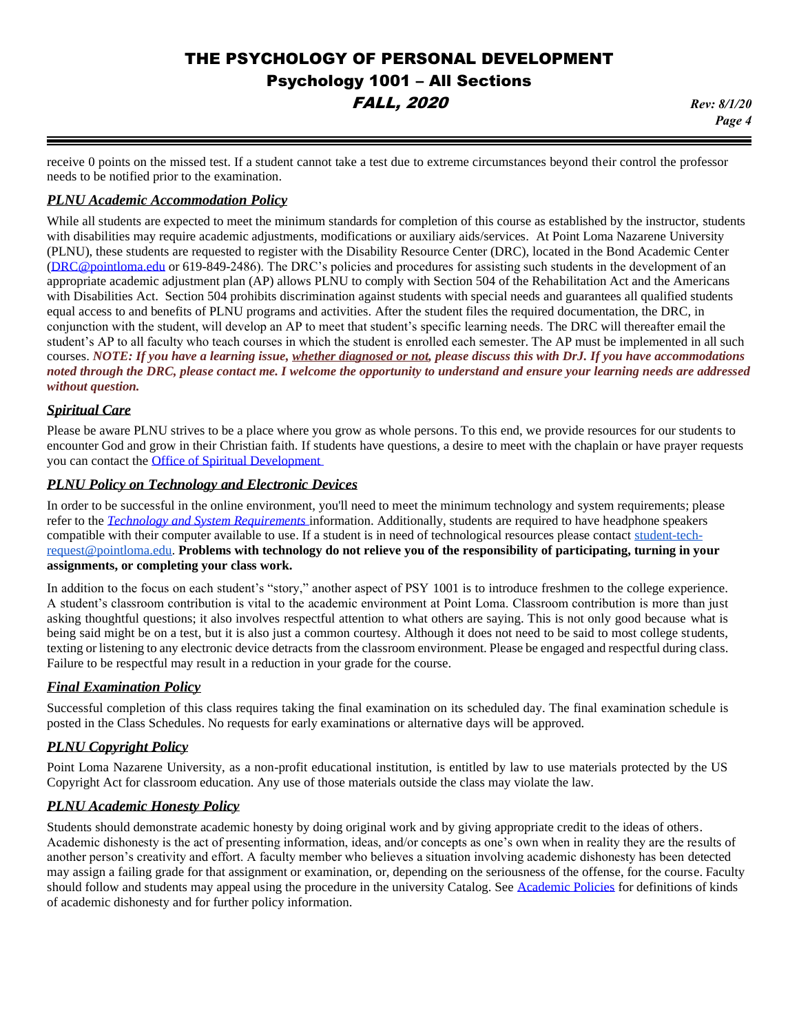*Page 4*

receive 0 points on the missed test. If a student cannot take a test due to extreme circumstances beyond their control the professor needs to be notified prior to the examination.

### *PLNU Academic Accommodation Policy*

While all students are expected to meet the minimum standards for completion of this course as established by the instructor, students with disabilities may require academic adjustments, modifications or auxiliary aids/services. At Point Loma Nazarene University (PLNU), these students are requested to register with the Disability Resource Center (DRC), located in the Bond Academic Center [\(DRC@pointloma.edu](mailto:DRC@pointloma.edu) or 619-849-2486). The DRC's policies and procedures for assisting such students in the development of an appropriate academic adjustment plan (AP) allows PLNU to comply with Section 504 of the Rehabilitation Act and the Americans with Disabilities Act. Section 504 prohibits discrimination against students with special needs and guarantees all qualified students equal access to and benefits of PLNU programs and activities. After the student files the required documentation, the DRC, in conjunction with the student, will develop an AP to meet that student's specific learning needs. The DRC will thereafter email the student's AP to all faculty who teach courses in which the student is enrolled each semester. The AP must be implemented in all such courses. *NOTE: If you have a learning issue, whether diagnosed or not, please discuss this with DrJ. If you have accommodations noted through the DRC, please contact me. I welcome the opportunity to understand and ensure your learning needs are addressed without question.*

# *Spiritual Care*

Please be aware PLNU strives to be a place where you grow as whole persons. To this end, we provide resources for our students to encounter God and grow in their Christian faith. If students have questions, a desire to meet with the chaplain or have prayer requests you can contact the [Office of Spiritual Development](https://www.pointloma.edu/offices/spiritual-development)

# *PLNU Policy on Technology and Electronic Devices*

In order to be successful in the online environment, you'll need to meet the minimum technology and system requirements; please refer to the *[Technology and System Requirements](https://help.pointloma.edu/TDClient/1808/Portal/KB/ArticleDet?ID=108349)* information. Additionally, students are required to have headphone speakers compatible with their computer available to use. If a student is in need of technological resources please contact [student-tech](mailto:student-tech-request@pointloma.edu)[request@pointloma.edu.](mailto:student-tech-request@pointloma.edu) **Problems with technology do not relieve you of the responsibility of participating, turning in your assignments, or completing your class work.**

In addition to the focus on each student's "story," another aspect of PSY 1001 is to introduce freshmen to the college experience. A student's classroom contribution is vital to the academic environment at Point Loma. Classroom contribution is more than just asking thoughtful questions; it also involves respectful attention to what others are saying. This is not only good because what is being said might be on a test, but it is also just a common courtesy. Although it does not need to be said to most college students, texting or listening to any electronic device detracts from the classroom environment. Please be engaged and respectful during class. Failure to be respectful may result in a reduction in your grade for the course.

### *Final Examination Policy*

Successful completion of this class requires taking the final examination on its scheduled day. The final examination schedule is posted in the Class Schedules. No requests for early examinations or alternative days will be approved.

# *PLNU Copyright Policy*

Point Loma Nazarene University, as a non-profit educational institution, is entitled by law to use materials protected by the US Copyright Act for classroom education. Any use of those materials outside the class may violate the law.

# *PLNU Academic Honesty Policy*

Students should demonstrate academic honesty by doing original work and by giving appropriate credit to the ideas of others. Academic dishonesty is the act of presenting information, ideas, and/or concepts as one's own when in reality they are the results of another person's creativity and effort. A faculty member who believes a situation involving academic dishonesty has been detected may assign a failing grade for that assignment or examination, or, depending on the seriousness of the offense, for the course. Faculty should follow and students may appeal using the procedure in the university Catalog. See [Academic Policies](https://catalog.pointloma.edu/content.php?catoid=41&navoid=2435#Academic_Honesty) for definitions of kinds of academic dishonesty and for further policy information.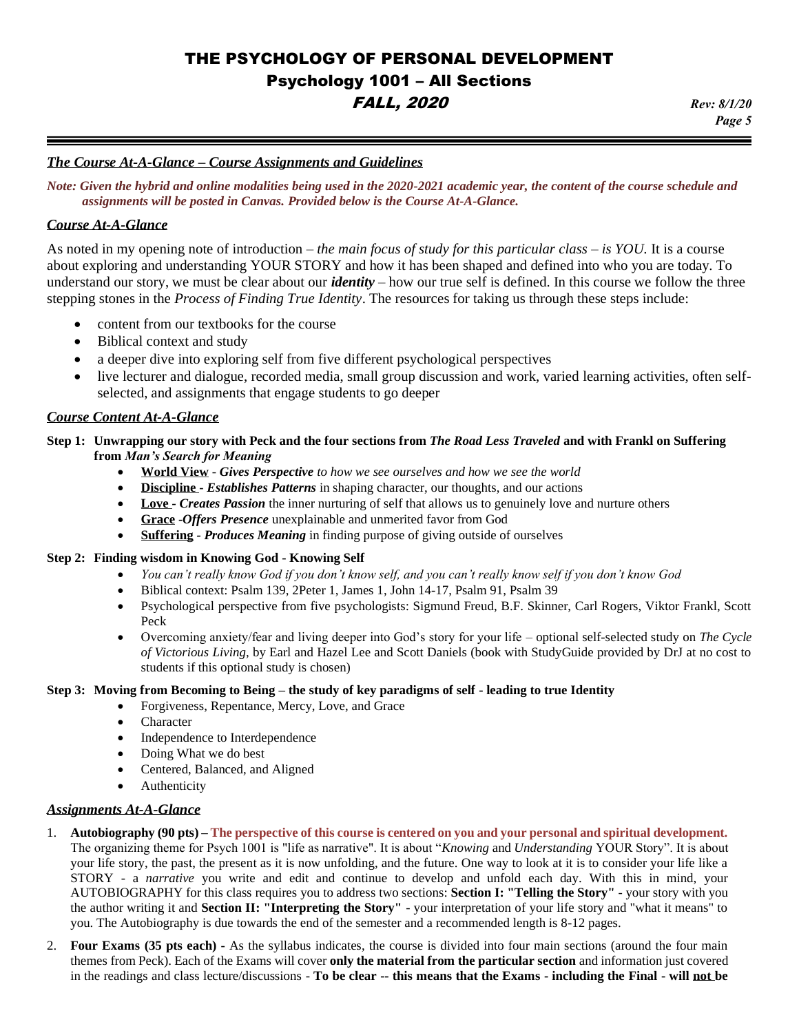# *The Course At-A-Glance – Course Assignments and Guidelines*

*Note: Given the hybrid and online modalities being used in the 2020-2021 academic year, the content of the course schedule and assignments will be posted in Canvas. Provided below is the Course At-A-Glance.*

# *Course At-A-Glance*

As noted in my opening note of introduction – *the main focus of study for this particular class – is YOU.* It is a course about exploring and understanding YOUR STORY and how it has been shaped and defined into who you are today. To understand our story, we must be clear about our *identity* – how our true self is defined. In this course we follow the three stepping stones in the *Process of Finding True Identity*. The resources for taking us through these steps include:

- content from our textbooks for the course
- Biblical context and study
- a deeper dive into exploring self from five different psychological perspectives
- live lecturer and dialogue, recorded media, small group discussion and work, varied learning activities, often selfselected, and assignments that engage students to go deeper

### *Course Content At-A-Glance*

### **Step 1: Unwrapping our story with Peck and the four sections from** *The Road Less Traveled* **and with Frankl on Suffering from** *Man's Search for Meaning*

- **World View** *Gives Perspective to how we see ourselves and how we see the world*
- **Discipline -** *Establishes Patterns* in shaping character, our thoughts, and our actions
- Love  *Creates Passion* the inner nurturing of self that allows us to genuinely love and nurture others
- **Grace** -*Offers Presence* unexplainable and unmerited favor from God
- **Suffering** *- Produces Meaning* in finding purpose of giving outside of ourselves

#### **Step 2: Finding wisdom in Knowing God - Knowing Self**

- *You can't really know God if you don't know self, and you can't really know self if you don't know God*
- Biblical context: Psalm 139, 2Peter 1, James 1, John 14-17, Psalm 91, Psalm 39
- Psychological perspective from five psychologists: Sigmund Freud, B.F. Skinner, Carl Rogers, Viktor Frankl, Scott Peck
- Overcoming anxiety/fear and living deeper into God's story for your life optional self-selected study on *The Cycle of Victorious Living*, by Earl and Hazel Lee and Scott Daniels (book with StudyGuide provided by DrJ at no cost to students if this optional study is chosen)

#### **Step 3: Moving from Becoming to Being – the study of key paradigms of self - leading to true Identity**

- Forgiveness, Repentance, Mercy, Love, and Grace
	- **Character**
	- Independence to Interdependence
	- Doing What we do best
	- Centered, Balanced, and Aligned
	- **Authenticity**

### *Assignments At-A-Glance*

- 1. **Autobiography (90 pts) – The perspective of this course is centered on you and your personal and spiritual development.** The organizing theme for Psych 1001 is "life as narrative". It is about "*Knowing* and *Understanding* YOUR Story". It is about your life story, the past, the present as it is now unfolding, and the future. One way to look at it is to consider your life like a STORY - a *narrative* you write and edit and continue to develop and unfold each day. With this in mind, your AUTOBIOGRAPHY for this class requires you to address two sections: **Section I: "Telling the Story"** - your story with you the author writing it and **Section II: "Interpreting the Story"** - your interpretation of your life story and "what it means" to you. The Autobiography is due towards the end of the semester and a recommended length is 8-12 pages.
- 2. **Four Exams (35 pts each) -** As the syllabus indicates, the course is divided into four main sections (around the four main themes from Peck). Each of the Exams will cover **only the material from the particular section** and information just covered in the readings and class lecture/discussions - **To be clear -- this means that the Exams - including the Final - will not be**